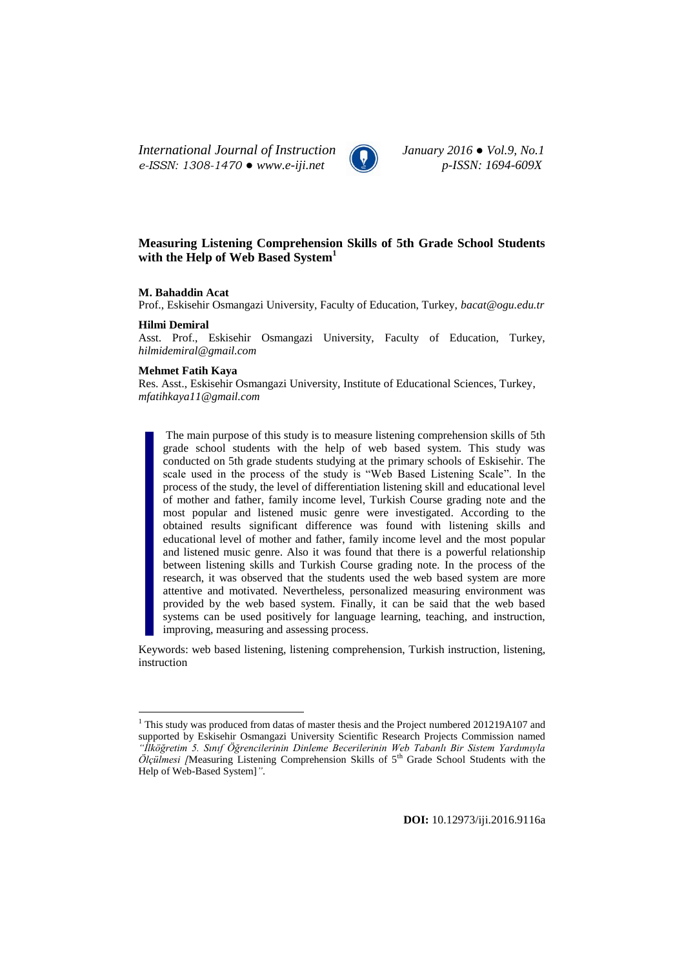*International Journal of Instruction January 2016 ● Vol.9, No.1 e-ISSN: 1308-1470 ● www.e-iji.net p-ISSN: 1694-609X*



# **Measuring Listening Comprehension Skills of 5th Grade School Students with the Help of Web Based System<sup>1</sup>**

## **M. Bahaddin Acat**

Prof., Eskisehir Osmangazi University, Faculty of Education, Turkey, *[bacat@ogu.edu.tr](mailto:bacat@ogu.edu.tr)*

### **Hilmi Demiral**

 $\overline{a}$ 

Asst. Prof., Eskisehir Osmangazi University, Faculty of Education, Turkey, *[hilmidemiral@gmail.com](mailto:hilmidemiral@gmail.com)*

# **Mehmet Fatih Kaya**

Res. Asst., Eskisehir Osmangazi University, Institute of Educational Sciences, Turkey, *[mfatihkaya11@gmail.com](mailto:mfatihkaya11@gmail.com)*

The main purpose of this study is to measure listening comprehension skills of 5th grade school students with the help of web based system. This study was conducted on 5th grade students studying at the primary schools of Eskisehir. The scale used in the process of the study is "Web Based Listening Scale". In the process of the study, the level of differentiation listening skill and educational level of mother and father, family income level, Turkish Course grading note and the most popular and listened music genre were investigated. According to the obtained results significant difference was found with listening skills and educational level of mother and father, family income level and the most popular and listened music genre. Also it was found that there is a powerful relationship between listening skills and Turkish Course grading note. In the process of the research, it was observed that the students used the web based system are more attentive and motivated. Nevertheless, personalized measuring environment was provided by the web based system. Finally, it can be said that the web based systems can be used positively for language learning, teaching, and instruction, improving, measuring and assessing process.

Keywords: web based listening, listening comprehension, Turkish instruction, listening, instruction

<sup>&</sup>lt;sup>1</sup> This study was produced from datas of master thesis and the Project numbered 201219A107 and supported by Eskisehir Osmangazi University Scientific Research Projects Commission named *"İlköğretim 5. Sınıf Öğrencilerinin Dinleme Becerilerinin Web Tabanlı Bir Sistem Yardımıyla*  Ölçülmesi [Measuring Listening Comprehension Skills of 5<sup>th</sup> Grade School Students with the Help of Web-Based System]*"*.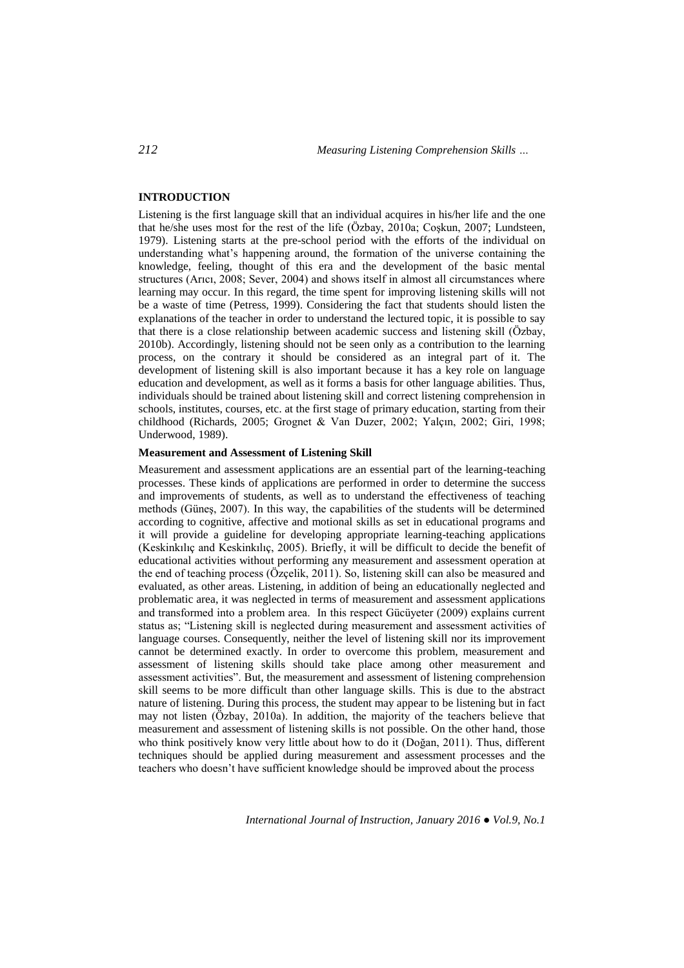## **INTRODUCTION**

Listening is the first language skill that an individual acquires in his/her life and the one that he/she uses most for the rest of the life (Özbay, 2010a; Coşkun, 2007; Lundsteen, 1979). Listening starts at the pre-school period with the efforts of the individual on understanding what's happening around, the formation of the universe containing the knowledge, feeling, thought of this era and the development of the basic mental structures (Arıcı, 2008; Sever, 2004) and shows itself in almost all circumstances where learning may occur. In this regard, the time spent for improving listening skills will not be a waste of time (Petress, 1999). Considering the fact that students should listen the explanations of the teacher in order to understand the lectured topic, it is possible to say that there is a close relationship between academic success and listening skill (Özbay, 2010b). Accordingly, listening should not be seen only as a contribution to the learning process, on the contrary it should be considered as an integral part of it. The development of listening skill is also important because it has a key role on language education and development, as well as it forms a basis for other language abilities. Thus, individuals should be trained about listening skill and correct listening comprehension in schools, institutes, courses, etc. at the first stage of primary education, starting from their childhood (Richards, 2005; Grognet & Van Duzer, 2002; Yalçın, 2002; Giri, 1998; Underwood, 1989).

### **Measurement and Assessment of Listening Skill**

Measurement and assessment applications are an essential part of the learning-teaching processes. These kinds of applications are performed in order to determine the success and improvements of students, as well as to understand the effectiveness of teaching methods (Güneş, 2007). In this way, the capabilities of the students will be determined according to cognitive, affective and motional skills as set in educational programs and it will provide a guideline for developing appropriate learning-teaching applications (Keskinkılıç and Keskinkılıç, 2005). Briefly, it will be difficult to decide the benefit of educational activities without performing any measurement and assessment operation at the end of teaching process (Özçelik, 2011). So, listening skill can also be measured and evaluated, as other areas. Listening, in addition of being an educationally neglected and problematic area, it was neglected in terms of measurement and assessment applications and transformed into a problem area. In this respect Gücüyeter (2009) explains current status as; "Listening skill is neglected during measurement and assessment activities of language courses. Consequently, neither the level of listening skill nor its improvement cannot be determined exactly. In order to overcome this problem, measurement and assessment of listening skills should take place among other measurement and assessment activities". But, the measurement and assessment of listening comprehension skill seems to be more difficult than other language skills. This is due to the abstract nature of listening. During this process, the student may appear to be listening but in fact may not listen (Özbay, 2010a). In addition, the majority of the teachers believe that measurement and assessment of listening skills is not possible. On the other hand, those who think positively know very little about how to do it (Doğan, 2011). Thus, different techniques should be applied during measurement and assessment processes and the teachers who doesn't have sufficient knowledge should be improved about the process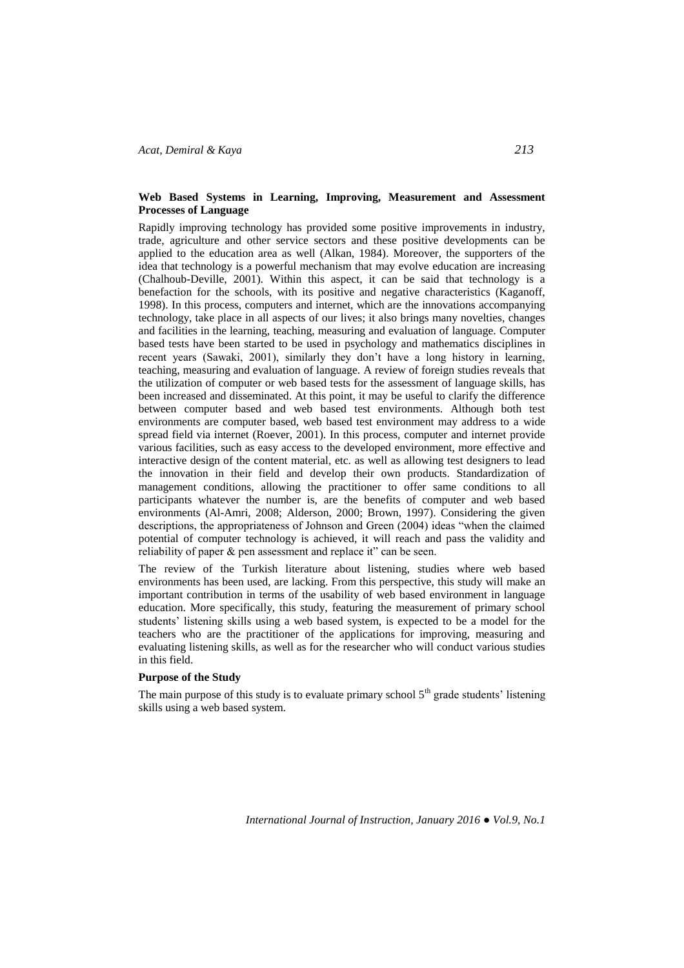# **Web Based Systems in Learning, Improving, Measurement and Assessment Processes of Language**

Rapidly improving technology has provided some positive improvements in industry, trade, agriculture and other service sectors and these positive developments can be applied to the education area as well (Alkan, 1984). Moreover, the supporters of the idea that technology is a powerful mechanism that may evolve education are increasing (Chalhoub-Deville, 2001). Within this aspect, it can be said that technology is a benefaction for the schools, with its positive and negative characteristics (Kaganoff, 1998). In this process, computers and internet, which are the innovations accompanying technology, take place in all aspects of our lives; it also brings many novelties, changes and facilities in the learning, teaching, measuring and evaluation of language. Computer based tests have been started to be used in psychology and mathematics disciplines in recent years (Sawaki, 2001), similarly they don't have a long history in learning, teaching, measuring and evaluation of language. A review of foreign studies reveals that the utilization of computer or web based tests for the assessment of language skills, has been increased and disseminated. At this point, it may be useful to clarify the difference between computer based and web based test environments. Although both test environments are computer based, web based test environment may address to a wide spread field via internet (Roever, 2001). In this process, computer and internet provide various facilities, such as easy access to the developed environment, more effective and interactive design of the content material, etc. as well as allowing test designers to lead the innovation in their field and develop their own products. Standardization of management conditions, allowing the practitioner to offer same conditions to all participants whatever the number is, are the benefits of computer and web based environments (Al-Amri, 2008; Alderson, 2000; Brown, 1997). Considering the given descriptions, the appropriateness of Johnson and Green (2004) ideas "when the claimed potential of computer technology is achieved, it will reach and pass the validity and reliability of paper & pen assessment and replace it" can be seen.

The review of the Turkish literature about listening, studies where web based environments has been used, are lacking. From this perspective, this study will make an important contribution in terms of the usability of web based environment in language education. More specifically, this study, featuring the measurement of primary school students' listening skills using a web based system, is expected to be a model for the teachers who are the practitioner of the applications for improving, measuring and evaluating listening skills, as well as for the researcher who will conduct various studies in this field.

## **Purpose of the Study**

The main purpose of this study is to evaluate primary school  $5<sup>th</sup>$  grade students' listening skills using a web based system.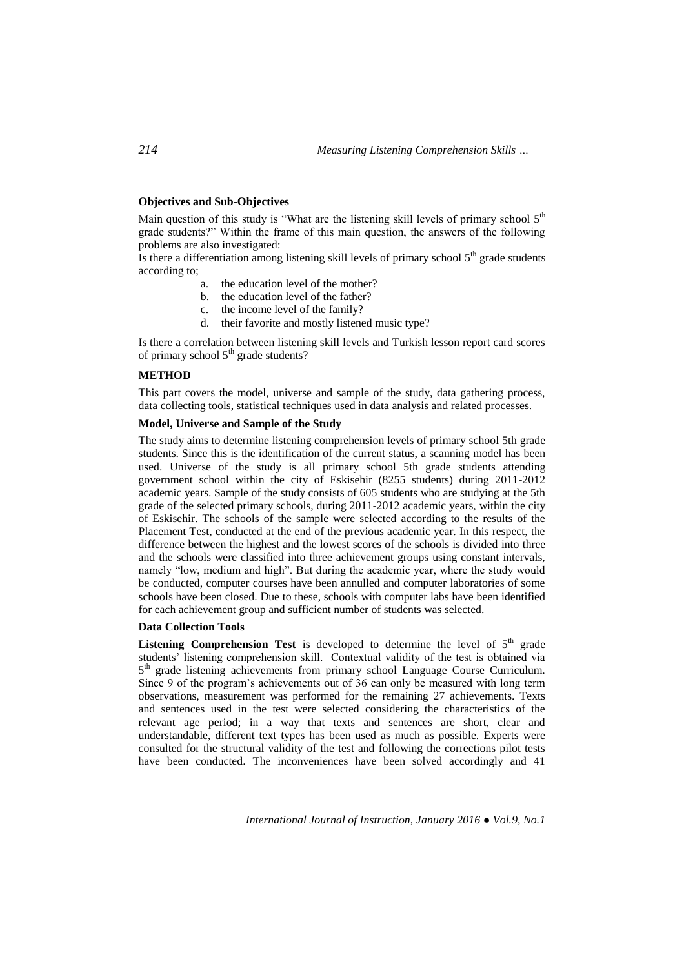## **Objectives and Sub-Objectives**

Main question of this study is "What are the listening skill levels of primary school  $5<sup>th</sup>$ grade students?" Within the frame of this main question, the answers of the following problems are also investigated:

Is there a differentiation among listening skill levels of primary school  $5<sup>th</sup>$  grade students according to;

- a. the education level of the mother?
- b. the education level of the father?
- c. the income level of the family?
- d. their favorite and mostly listened music type?

Is there a correlation between listening skill levels and Turkish lesson report card scores of primary school  $5<sup>th</sup>$  grade students?

# **METHOD**

This part covers the model, universe and sample of the study, data gathering process, data collecting tools, statistical techniques used in data analysis and related processes.

# **Model, Universe and Sample of the Study**

The study aims to determine listening comprehension levels of primary school 5th grade students. Since this is the identification of the current status, a scanning model has been used. Universe of the study is all primary school 5th grade students attending government school within the city of Eskisehir (8255 students) during 2011-2012 academic years. Sample of the study consists of 605 students who are studying at the 5th grade of the selected primary schools, during 2011-2012 academic years, within the city of Eskisehir. The schools of the sample were selected according to the results of the Placement Test, conducted at the end of the previous academic year. In this respect, the difference between the highest and the lowest scores of the schools is divided into three and the schools were classified into three achievement groups using constant intervals, namely "low, medium and high". But during the academic year, where the study would be conducted, computer courses have been annulled and computer laboratories of some schools have been closed. Due to these, schools with computer labs have been identified for each achievement group and sufficient number of students was selected.

# **Data Collection Tools**

**Listening Comprehension Test** is developed to determine the level of  $5<sup>th</sup>$  grade students' listening comprehension skill. Contextual validity of the test is obtained via 5<sup>th</sup> grade listening achievements from primary school Language Course Curriculum. Since 9 of the program's achievements out of 36 can only be measured with long term observations, measurement was performed for the remaining 27 achievements. Texts and sentences used in the test were selected considering the characteristics of the relevant age period; in a way that texts and sentences are short, clear and understandable, different text types has been used as much as possible. Experts were consulted for the structural validity of the test and following the corrections pilot tests have been conducted. The inconveniences have been solved accordingly and 41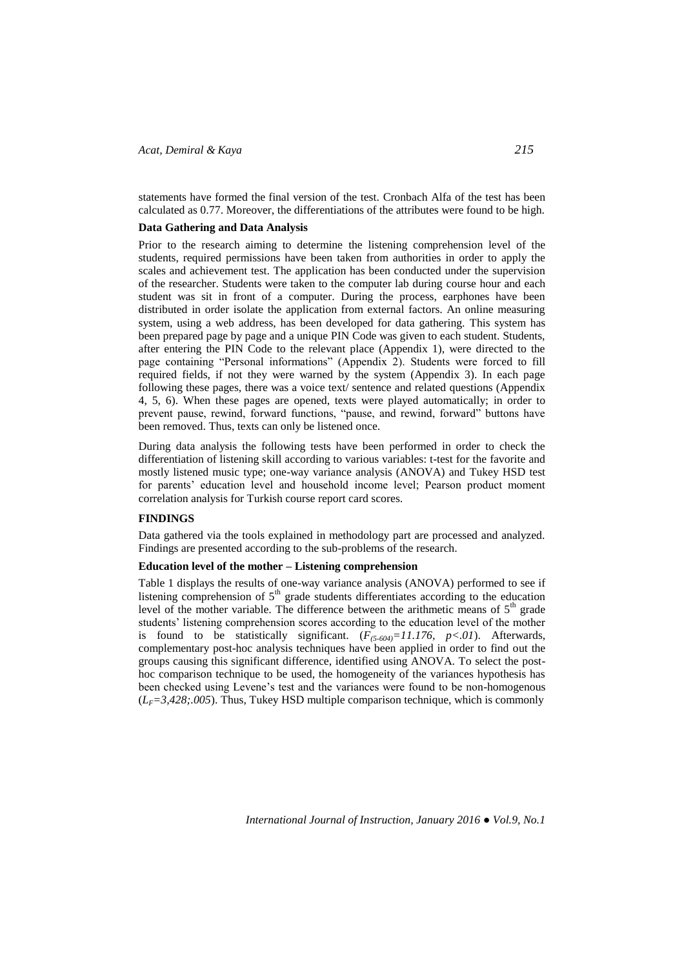statements have formed the final version of the test. Cronbach Alfa of the test has been calculated as 0.77. Moreover, the differentiations of the attributes were found to be high.

## **Data Gathering and Data Analysis**

Prior to the research aiming to determine the listening comprehension level of the students, required permissions have been taken from authorities in order to apply the scales and achievement test. The application has been conducted under the supervision of the researcher. Students were taken to the computer lab during course hour and each student was sit in front of a computer. During the process, earphones have been distributed in order isolate the application from external factors. An online measuring system, using a web address, has been developed for data gathering. This system has been prepared page by page and a unique PIN Code was given to each student. Students, after entering the PIN Code to the relevant place (Appendix 1), were directed to the page containing "Personal informations" (Appendix 2). Students were forced to fill required fields, if not they were warned by the system (Appendix 3). In each page following these pages, there was a voice text/ sentence and related questions (Appendix 4, 5, 6). When these pages are opened, texts were played automatically; in order to prevent pause, rewind, forward functions, "pause, and rewind, forward" buttons have been removed. Thus, texts can only be listened once.

During data analysis the following tests have been performed in order to check the differentiation of listening skill according to various variables: t-test for the favorite and mostly listened music type; one-way variance analysis (ANOVA) and Tukey HSD test for parents' education level and household income level; Pearson product moment correlation analysis for Turkish course report card scores.

## **FINDINGS**

Data gathered via the tools explained in methodology part are processed and analyzed. Findings are presented according to the sub-problems of the research.

## **Education level of the mother – Listening comprehension**

Table 1 displays the results of one-way variance analysis (ANOVA) performed to see if listening comprehension of  $5<sup>th</sup>$  grade students differentiates according to the education level of the mother variable. The difference between the arithmetic means of  $5<sup>th</sup>$  grade students' listening comprehension scores according to the education level of the mother is found to be statistically significant.  $(F_{(5.604)} = 11.176, p < .01)$ . Afterwards, complementary post-hoc analysis techniques have been applied in order to find out the groups causing this significant difference, identified using ANOVA. To select the posthoc comparison technique to be used, the homogeneity of the variances hypothesis has been checked using Levene's test and the variances were found to be non-homogenous  $(L_F=3,428;005)$ . Thus, Tukey HSD multiple comparison technique, which is commonly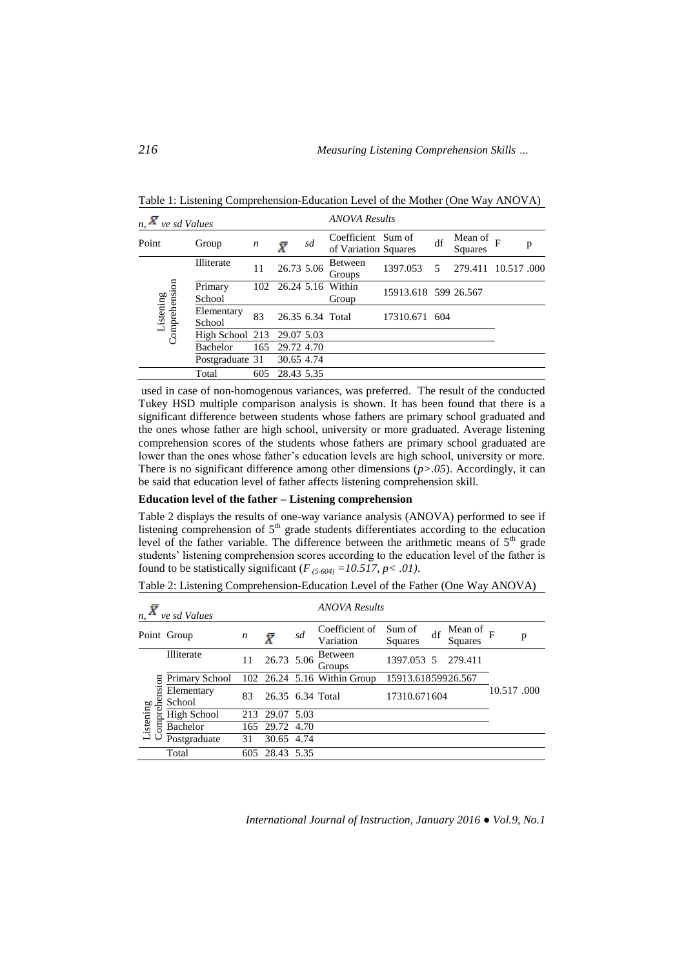| $n, \overline{X}$<br>ve sd Values |                      |                  |            | <b>ANOVA Results</b> |                                            |                      |    |                    |            |   |  |
|-----------------------------------|----------------------|------------------|------------|----------------------|--------------------------------------------|----------------------|----|--------------------|------------|---|--|
| Point                             | Group                | $\boldsymbol{n}$ | Ī          | sd                   | Coefficient Sum of<br>of Variation Squares |                      | df | Mean of<br>Squares | F          | p |  |
|                                   | Illiterate           | 11               | 26.73 5.06 |                      | <b>Between</b><br>Groups                   | 1397.053             | .5 | 279.411            | 10.517.000 |   |  |
| Listening<br>Comprehension        | Primary<br>School    | 102              |            |                      | 26.24 5.16 Within<br>Group                 | 15913.618 599 26.567 |    |                    |            |   |  |
|                                   | Elementary<br>School | 83               |            |                      | 26.35 6.34 Total                           | 17310.671 604        |    |                    |            |   |  |
|                                   | High School 213      |                  | 29.07 5.03 |                      |                                            |                      |    |                    |            |   |  |
|                                   | <b>Bachelor</b>      | 165              | 29.72 4.70 |                      |                                            |                      |    |                    |            |   |  |
|                                   | Postgraduate 31      |                  | 30.65 4.74 |                      |                                            |                      |    |                    |            |   |  |
|                                   | Total                | 605              | 28.43 5.35 |                      |                                            |                      |    |                    |            |   |  |

Table 1: Listening Comprehension-Education Level of the Mother (One Way ANOVA)

used in case of non-homogenous variances, was preferred. The result of the conducted Tukey HSD multiple comparison analysis is shown. It has been found that there is a significant difference between students whose fathers are primary school graduated and the ones whose father are high school, university or more graduated. Average listening comprehension scores of the students whose fathers are primary school graduated are lower than the ones whose father's education levels are high school, university or more. There is no significant difference among other dimensions  $(p>0.05)$ . Accordingly, it can be said that education level of father affects listening comprehension skill.

#### **Education level of the father – Listening comprehension**

Table 2 displays the results of one-way variance analysis (ANOVA) performed to see if listening comprehension of  $5<sup>th</sup>$  grade students differentiates according to the education level of the father variable. The difference between the arithmetic means of  $5<sup>th</sup>$  grade students' listening comprehension scores according to the education level of the father is found to be statistically significant ( $F_{(5-604)} = 10.517$ ,  $p < .01$ ).

| n,                    | ve sd Values         |                  |                  |      | <b>ANOVA Results</b>        |                    |    |                    |            |   |  |
|-----------------------|----------------------|------------------|------------------|------|-----------------------------|--------------------|----|--------------------|------------|---|--|
|                       | Point Group          | $\boldsymbol{n}$ | Ī                | sd   | Coefficient of<br>Variation | Sum of<br>Squares  | df | Mean of<br>Squares |            | p |  |
|                       | Illiterate           | 11               | 26.73 5.06       |      | Between<br>Groups           | 1397.053 5         |    | 279.411            |            |   |  |
| omprehension          | Primary School       |                  |                  |      | 102 26.24 5.16 Within Group | 15913.61859926.567 |    |                    |            |   |  |
|                       | Elementary<br>School | 83               | 26.35 6.34 Total |      |                             | 17310.671604       |    |                    | 10.517.000 |   |  |
| Listening<br>Comprehe | <b>High School</b>   | 213              | 29.07            | 5.03 |                             |                    |    |                    |            |   |  |
|                       | <b>Bachelor</b>      | 165              | 29.72            | 4.70 |                             |                    |    |                    |            |   |  |
|                       | Postgraduate         | 31               | 30.65 4.74       |      |                             |                    |    |                    |            |   |  |
|                       | Total                | 605              | 28.43            | 5.35 |                             |                    |    |                    |            |   |  |
|                       |                      |                  |                  |      |                             |                    |    |                    |            |   |  |

Table 2: Listening Comprehension-Education Level of the Father (One Way ANOVA)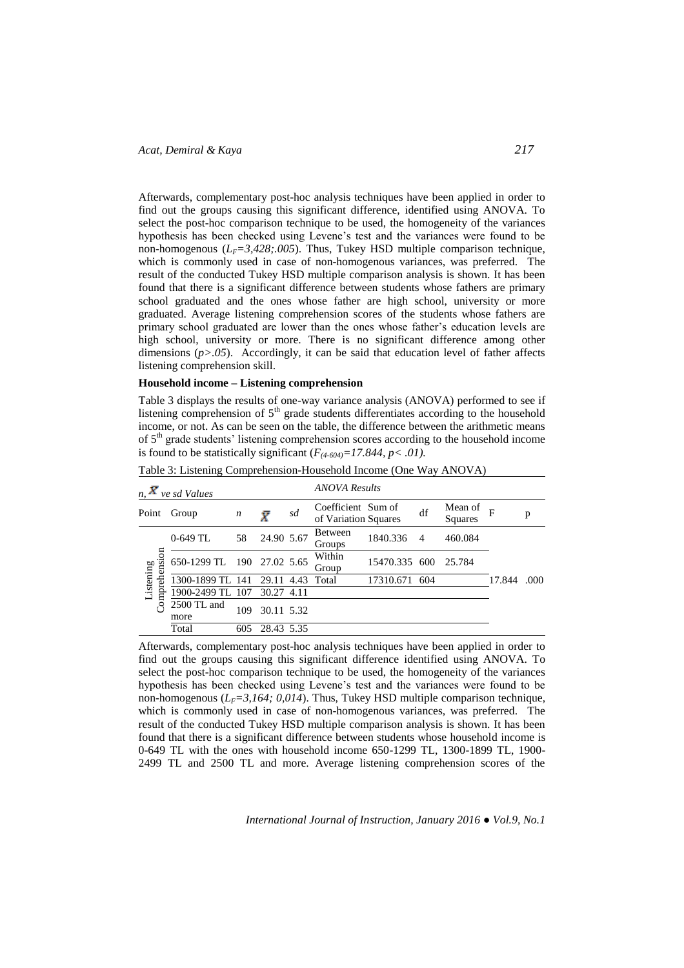Afterwards, complementary post-hoc analysis techniques have been applied in order to find out the groups causing this significant difference, identified using ANOVA. To select the post-hoc comparison technique to be used, the homogeneity of the variances hypothesis has been checked using Levene's test and the variances were found to be non-homogenous  $(L_F=3,428;005)$ . Thus, Tukey HSD multiple comparison technique, which is commonly used in case of non-homogenous variances, was preferred. The result of the conducted Tukey HSD multiple comparison analysis is shown. It has been found that there is a significant difference between students whose fathers are primary school graduated and the ones whose father are high school, university or more graduated. Average listening comprehension scores of the students whose fathers are primary school graduated are lower than the ones whose father's education levels are high school, university or more. There is no significant difference among other dimensions  $(p>0.05)$ . Accordingly, it can be said that education level of father affects listening comprehension skill.

# **Household income – Listening comprehension**

Table 3 displays the results of one-way variance analysis (ANOVA) performed to see if listening comprehension of  $5<sup>th</sup>$  grade students differentiates according to the household income, or not. As can be seen on the table, the difference between the arithmetic means of  $5<sup>th</sup>$  grade students' listening comprehension scores according to the household income is found to be statistically significant  $(F_{(4-604)}=17.844, p<.01)$ .

| $n, \overline{X}$<br>ve sd Values |                            |                  |                  | <b>ANOVA Results</b> |                                            |               |                |                    |        |       |
|-----------------------------------|----------------------------|------------------|------------------|----------------------|--------------------------------------------|---------------|----------------|--------------------|--------|-------|
| Point                             | Group                      | $\boldsymbol{n}$ | $\bar{X}$        | sd                   | Coefficient Sum of<br>of Variation Squares |               | df             | Mean of<br>Squares | F      | p     |
| Comprehension<br>Listening        | $0-649$ TL                 | 58               | 24.90 5.67       |                      | <b>Between</b><br>Groups                   | 1840.336      | $\overline{4}$ | 460.084            |        |       |
|                                   | 650-1299 TL 190 27.02 5.65 |                  |                  |                      | Within<br>Group                            | 15470.335 600 |                | 25.784             |        |       |
|                                   | 1300-1899 TL 141           |                  | 29.11 4.43 Total |                      |                                            | 17310.671     | 604            |                    | 17.844 | .000. |
|                                   | 1900-2499 TL 107           |                  | 30.27 4.11       |                      |                                            |               |                |                    |        |       |
|                                   | 2500 TL and<br>more        | 109              | 30.11 5.32       |                      |                                            |               |                |                    |        |       |
|                                   | Total                      | 605              | 28.43 5.35       |                      |                                            |               |                |                    |        |       |

Table 3: Listening Comprehension-Household Income (One Way ANOVA)

Afterwards, complementary post-hoc analysis techniques have been applied in order to find out the groups causing this significant difference identified using ANOVA. To select the post-hoc comparison technique to be used, the homogeneity of the variances hypothesis has been checked using Levene's test and the variances were found to be non-homogenous  $(L_F=3,164; 0,014)$ . Thus, Tukey HSD multiple comparison technique, which is commonly used in case of non-homogenous variances, was preferred. The result of the conducted Tukey HSD multiple comparison analysis is shown. It has been found that there is a significant difference between students whose household income is 0-649 TL with the ones with household income 650-1299 TL, 1300-1899 TL, 1900- 2499 TL and 2500 TL and more. Average listening comprehension scores of the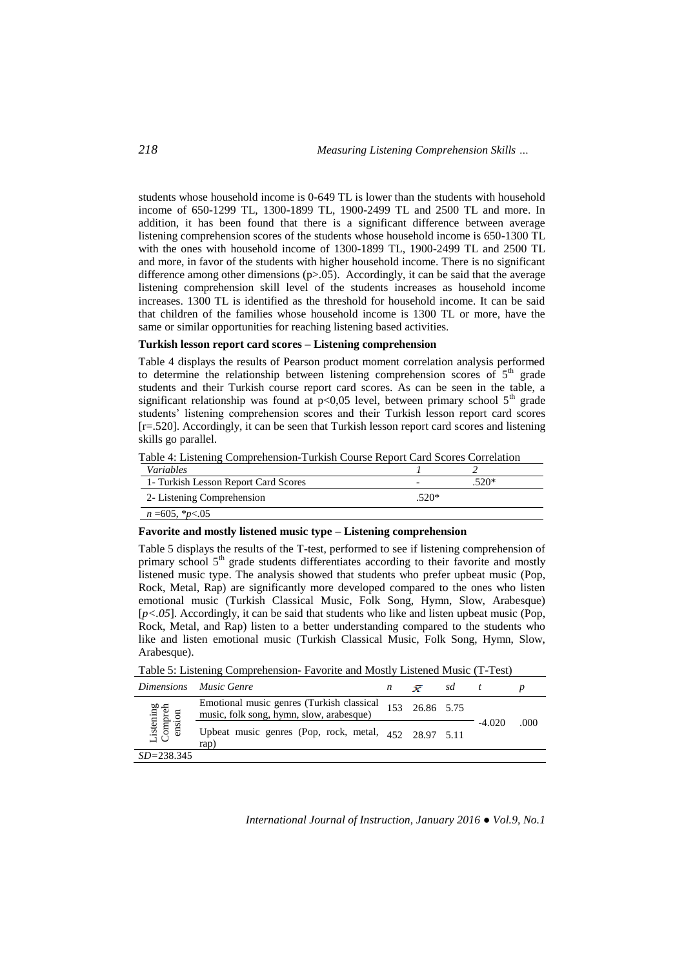students whose household income is 0-649 TL is lower than the students with household income of 650-1299 TL, 1300-1899 TL, 1900-2499 TL and 2500 TL and more. In addition, it has been found that there is a significant difference between average listening comprehension scores of the students whose household income is 650-1300 TL with the ones with household income of 1300-1899 TL, 1900-2499 TL and 2500 TL and more, in favor of the students with higher household income. There is no significant difference among other dimensions ( $p>0.05$ ). Accordingly, it can be said that the average listening comprehension skill level of the students increases as household income increases. 1300 TL is identified as the threshold for household income. It can be said that children of the families whose household income is 1300 TL or more, have the same or similar opportunities for reaching listening based activities.

## **Turkish lesson report card scores – Listening comprehension**

Table 4 displays the results of Pearson product moment correlation analysis performed to determine the relationship between listening comprehension scores of  $5<sup>th</sup>$  grade students and their Turkish course report card scores. As can be seen in the table, a significant relationship was found at  $p<0.05$  level, between primary school  $5<sup>th</sup>$  grade students' listening comprehension scores and their Turkish lesson report card scores [r=.520]. Accordingly, it can be seen that Turkish lesson report card scores and listening skills go parallel.

Table 4: Listening Comprehension-Turkish Course Report Card Scores Correlation

| <i>Variables</i>                     |         |      |
|--------------------------------------|---------|------|
| 1- Turkish Lesson Report Card Scores |         | 520* |
| 2- Listening Comprehension           | $.520*$ |      |
| $n = 605, *p < 05$                   |         |      |

#### **Favorite and mostly listened music type – Listening comprehension**

Table 5 displays the results of the T-test, performed to see if listening comprehension of primary school  $5<sup>th</sup>$  grade students differentiates according to their favorite and mostly listened music type. The analysis showed that students who prefer upbeat music (Pop, Rock, Metal, Rap) are significantly more developed compared to the ones who listen emotional music (Turkish Classical Music, Folk Song, Hymn, Slow, Arabesque) [ $p$ <.05]. Accordingly, it can be said that students who like and listen upbeat music (Pop, Rock, Metal, and Rap) listen to a better understanding compared to the students who like and listen emotional music (Turkish Classical Music, Folk Song, Hymn, Slow, Arabesque).

Table 5: Listening Comprehension- Favorite and Mostly Listened Music (T-Test)

| <i>Dimensions</i>             | Music Genre                                                                           | n | $\bar{X}$      | sd |          |      |
|-------------------------------|---------------------------------------------------------------------------------------|---|----------------|----|----------|------|
| istening<br>Compreh<br>ension | Emotional music genres (Turkish classical<br>music, folk song, hymn, slow, arabesque) |   | 153 26.86 5.75 |    |          | .000 |
|                               | Upbeat music genres (Pop, rock, metal, $452$ $28.97$ $5.11$<br>rap)                   |   |                |    | $-4.020$ |      |
| $SD = 238.345$                |                                                                                       |   |                |    |          |      |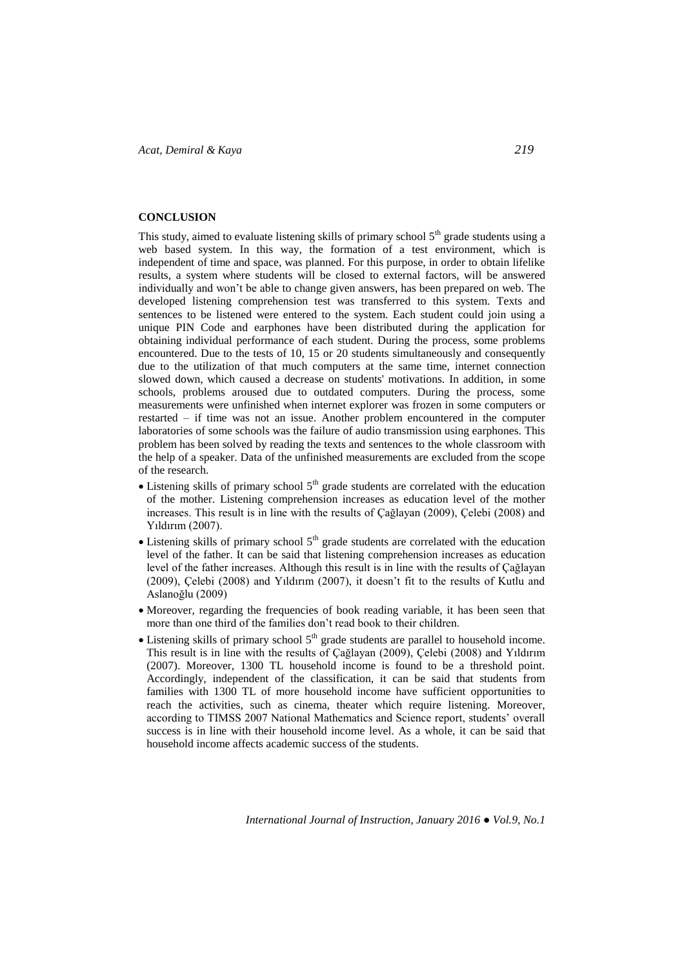#### **CONCLUSION**

This study, aimed to evaluate listening skills of primary school  $5<sup>th</sup>$  grade students using a web based system. In this way, the formation of a test environment, which is independent of time and space, was planned. For this purpose, in order to obtain lifelike results, a system where students will be closed to external factors, will be answered individually and won't be able to change given answers, has been prepared on web. The developed listening comprehension test was transferred to this system. Texts and sentences to be listened were entered to the system. Each student could join using a unique PIN Code and earphones have been distributed during the application for obtaining individual performance of each student. During the process, some problems encountered. Due to the tests of 10, 15 or 20 students simultaneously and consequently due to the utilization of that much computers at the same time, internet connection slowed down, which caused a decrease on students' motivations. In addition, in some schools, problems aroused due to outdated computers. During the process, some measurements were unfinished when internet explorer was frozen in some computers or restarted – if time was not an issue. Another problem encountered in the computer laboratories of some schools was the failure of audio transmission using earphones. This problem has been solved by reading the texts and sentences to the whole classroom with the help of a speaker. Data of the unfinished measurements are excluded from the scope of the research.

- $\bullet$  Listening skills of primary school  $5<sup>th</sup>$  grade students are correlated with the education of the mother. Listening comprehension increases as education level of the mother increases. This result is in line with the results of Çağlayan (2009), Çelebi (2008) and Yıldırım (2007).
- $\bullet$  Listening skills of primary school  $5<sup>th</sup>$  grade students are correlated with the education level of the father. It can be said that listening comprehension increases as education level of the father increases. Although this result is in line with the results of Çağlayan (2009), Çelebi (2008) and Yıldırım (2007), it doesn't fit to the results of Kutlu and Aslanoğlu (2009)
- Moreover, regarding the frequencies of book reading variable, it has been seen that more than one third of the families don't read book to their children.
- $\bullet$  Listening skills of primary school  $5<sup>th</sup>$  grade students are parallel to household income. This result is in line with the results of Çağlayan (2009), Çelebi (2008) and Yıldırım (2007). Moreover, 1300 TL household income is found to be a threshold point. Accordingly, independent of the classification, it can be said that students from families with 1300 TL of more household income have sufficient opportunities to reach the activities, such as cinema, theater which require listening. Moreover, according to TIMSS 2007 National Mathematics and Science report, students' overall success is in line with their household income level. As a whole, it can be said that household income affects academic success of the students.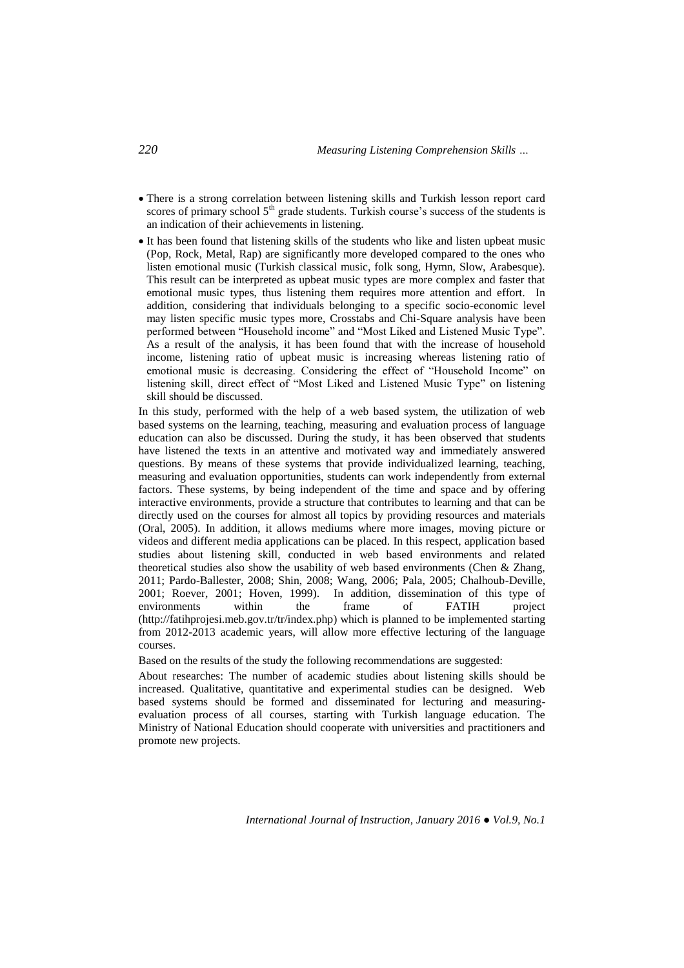- There is a strong correlation between listening skills and Turkish lesson report card scores of primary school 5<sup>th</sup> grade students. Turkish course's success of the students is an indication of their achievements in listening.
- It has been found that listening skills of the students who like and listen upbeat music (Pop, Rock, Metal, Rap) are significantly more developed compared to the ones who listen emotional music (Turkish classical music, folk song, Hymn, Slow, Arabesque). This result can be interpreted as upbeat music types are more complex and faster that emotional music types, thus listening them requires more attention and effort. In addition, considering that individuals belonging to a specific socio-economic level may listen specific music types more, Crosstabs and Chi-Square analysis have been performed between "Household income" and "Most Liked and Listened Music Type". As a result of the analysis, it has been found that with the increase of household income, listening ratio of upbeat music is increasing whereas listening ratio of emotional music is decreasing. Considering the effect of "Household Income" on listening skill, direct effect of "Most Liked and Listened Music Type" on listening skill should be discussed.

In this study, performed with the help of a web based system, the utilization of web based systems on the learning, teaching, measuring and evaluation process of language education can also be discussed. During the study, it has been observed that students have listened the texts in an attentive and motivated way and immediately answered questions. By means of these systems that provide individualized learning, teaching, measuring and evaluation opportunities, students can work independently from external factors. These systems, by being independent of the time and space and by offering interactive environments, provide a structure that contributes to learning and that can be directly used on the courses for almost all topics by providing resources and materials (Oral, 2005). In addition, it allows mediums where more images, moving picture or videos and different media applications can be placed. In this respect, application based studies about listening skill, conducted in web based environments and related theoretical studies also show the usability of web based environments (Chen & Zhang, 2011; Pardo-Ballester, 2008; Shin, 2008; Wang, 2006; Pala, 2005; Chalhoub-Deville, 2001; Roever, 2001; Hoven, 1999). In addition, dissemination of this type of environments within the frame of FATIH project [\(http://fatihprojesi.meb.gov.tr/tr/index.php\)](http://fatihprojesi.meb.gov.tr/tr/index.php) which is planned to be implemented starting from 2012-2013 academic years, will allow more effective lecturing of the language courses.

Based on the results of the study the following recommendations are suggested:

About researches: The number of academic studies about listening skills should be increased. Qualitative, quantitative and experimental studies can be designed. Web based systems should be formed and disseminated for lecturing and measuringevaluation process of all courses, starting with Turkish language education. The Ministry of National Education should cooperate with universities and practitioners and promote new projects.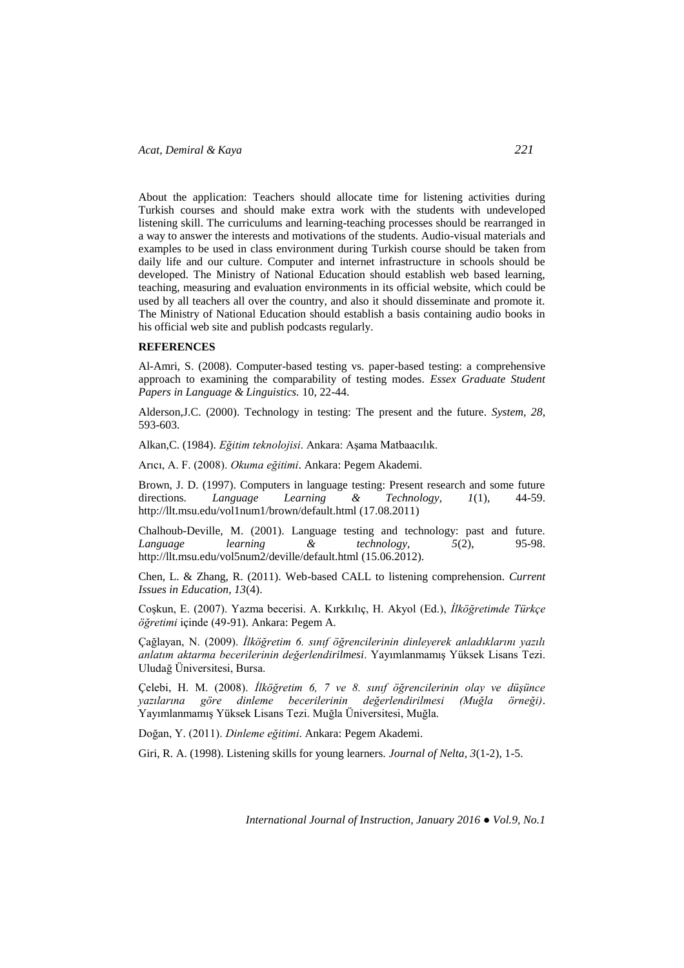About the application: Teachers should allocate time for listening activities during Turkish courses and should make extra work with the students with undeveloped listening skill. The curriculums and learning-teaching processes should be rearranged in a way to answer the interests and motivations of the students. Audio-visual materials and examples to be used in class environment during Turkish course should be taken from daily life and our culture. Computer and internet infrastructure in schools should be developed. The Ministry of National Education should establish web based learning, teaching, measuring and evaluation environments in its official website, which could be used by all teachers all over the country, and also it should disseminate and promote it. The Ministry of National Education should establish a basis containing audio books in his official web site and publish podcasts regularly.

# **REFERENCES**

Al-Amri, S. (2008). Computer-based testing vs. paper-based testing: a comprehensive approach to examining the comparability of testing modes. *Essex Graduate Student Papers in Language & Linguistics.* 10, 22-44.

Alderson,J.C. (2000). Technology in testing: The present and the future. *System, 28,*  593-603.

Alkan,C. (1984). *Eğitim teknolojisi*. Ankara: Aşama Matbaacılık.

Arıcı, A. F. (2008). *Okuma eğitimi*. Ankara: Pegem Akademi.

Brown, J. D. (1997). Computers in language testing: Present research and some future directions. Language Learning & Technology, 1(1), 44-59. directions. *Language Learning & Technology, 1*(1), 44-59. <http://llt.msu.edu/vol1num1/brown/default.html> (17.08.2011)

Chalhoub-Deville, M. (2001). Language testing and technology: past and future. *Language learning & technology, 5*(2), 95-98. <http://llt.msu.edu/vol5num2/deville/default.html> (15.06.2012).

Chen, L. & Zhang, R. (2011). Web-based CALL to listening comprehension. *Current Issues in Education, 13*(4).

Coşkun, E. (2007). Yazma becerisi. A. Kırkkılıç, H. Akyol (Ed.), *İlköğretimde Türkçe öğretimi* içinde (49-91). Ankara: Pegem A.

Çağlayan, N. (2009). *İlköğretim 6. sınıf öğrencilerinin dinleyerek anladıklarını yazılı anlatım aktarma becerilerinin değerlendirilmesi*. Yayımlanmamış Yüksek Lisans Tezi. Uludağ Üniversitesi, Bursa.

Çelebi, H. M. (2008). *İlköğretim 6, 7 ve 8. sınıf öğrencilerinin olay ve düşünce yazılarına göre dinleme becerilerinin değerlendirilmesi (Muğla örneği)*. Yayımlanmamış Yüksek Lisans Tezi. Muğla Üniversitesi, Muğla.

Doğan, Y. (2011). *Dinleme eğitimi*. Ankara: Pegem Akademi.

Giri, R. A. (1998). Listening skills for young learners. *Journal of Nelta, 3*(1-2), 1-5.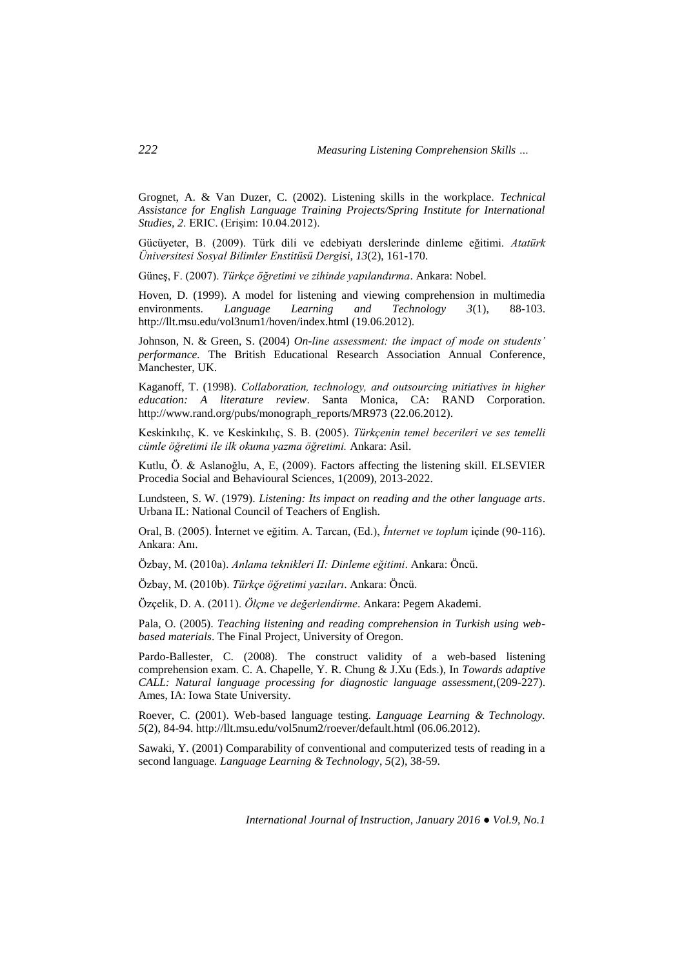Grognet, A. & Van Duzer, C. (2002). Listening skills in the workplace. *Technical Assistance for English Language Training Projects/Spring Institute for International Studies, 2*. ERIC. (Erişim: 10.04.2012).

Gücüyeter, B. (2009). Türk dili ve edebiyatı derslerinde dinleme eğitimi. *Atatürk Üniversitesi Sosyal Bilimler Enstitüsü Dergisi, 13*(2), 161-170.

Güneş, F. (2007). *Türkçe öğretimi ve zihinde yapılandırma*. Ankara: Nobel.

Hoven, D. (1999). A model for listening and viewing comprehension in multimedia environments. *Language Learning and Technology 3*(1), 88-103. <http://llt.msu.edu/vol3num1/hoven/index.html> (19.06.2012).

Johnson, N. & Green, S. (2004) *On-line assessment: the impact of mode on students' performance.* The British Educational Research Association Annual Conference, Manchester, UK.

Kaganoff, T. (1998). *Collaboration, technology, and outsourcing ınitiatives in higher education: A literature review*. Santa Monica, CA: RAND Corporation. [http://www.rand.org/pubs/monograph\\_reports/MR973](http://www.rand.org/pubs/monograph_reports/MR973) (22.06.2012).

Keskinkılıç, K. ve Keskinkılıç, S. B. (2005). *Türkçenin temel becerileri ve ses temelli cümle öğretimi ile ilk okuma yazma öğretimi.* Ankara: Asil.

Kutlu, Ö. & Aslanoğlu, A, E, (2009). Factors affecting the listening skill. ELSEVIER Procedia Social and Behavioural Sciences, 1(2009), 2013-2022.

Lundsteen, S. W. (1979). *Listening: Its impact on reading and the other language arts*. Urbana IL: National Council of Teachers of English.

Oral, B. (2005). İnternet ve eğitim. A. Tarcan, (Ed.), *İnternet ve toplum* içinde (90-116). Ankara: Anı.

Özbay, M. (2010a). *Anlama teknikleri II: Dinleme eğitimi*. Ankara: Öncü.

Özbay, M. (2010b). *Türkçe öğretimi yazıları*. Ankara: Öncü.

Özçelik, D. A. (2011). *Ölçme ve değerlendirme*. Ankara: Pegem Akademi.

Pala, O. (2005). *Teaching listening and reading comprehension in Turkish using webbased materials*. The Final Project, University of Oregon.

Pardo-Ballester, C. (2008). The construct validity of a web-based listening comprehension exam. C. A. Chapelle, Y. R. Chung & J.Xu (Eds.), In *Towards adaptive CALL: Natural language processing for diagnostic language assessment,*(209-227). Ames, IA: Iowa State University.

Roever, C. (2001). Web-based language testing. *Language Learning & Technology. 5*(2), 84-94[. http://llt.msu.edu/vol5num2/roever/default.html](http://llt.msu.edu/vol5num2/roever/default.html) (06.06.2012).

Sawaki, Y. (2001) Comparability of conventional and computerized tests of reading in a second language*. Language Learning & Technology*, *5*(2), 38-59.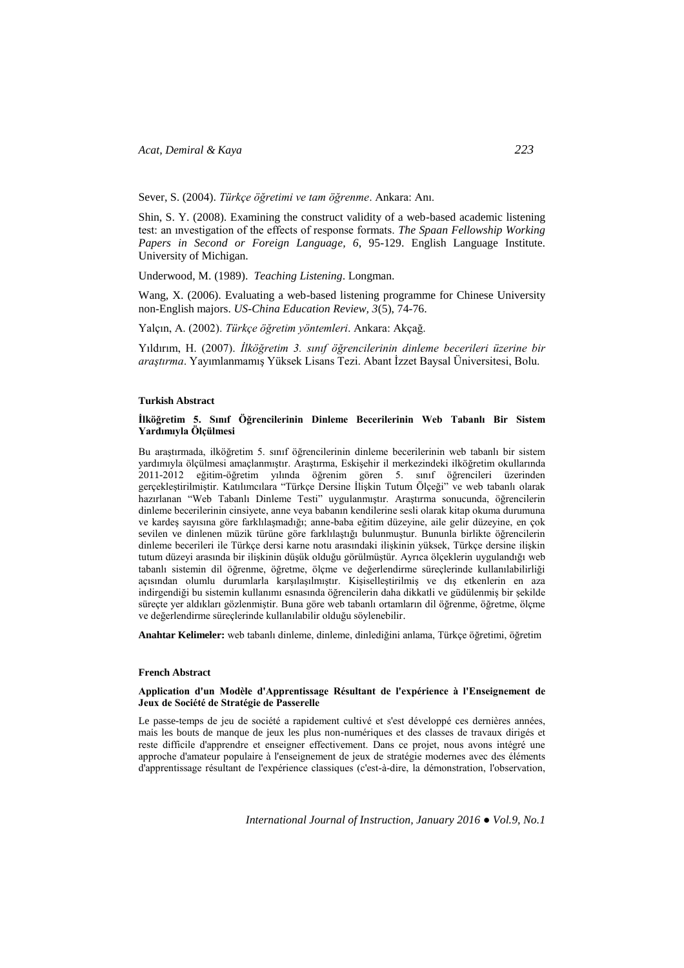Sever, S. (2004). *Türkçe öğretimi ve tam öğrenme*. Ankara: Anı.

Shin, S. Y. (2008). Examining the construct validity of a web-based academic listening test: an ınvestigation of the effects of response formats. *The Spaan Fellowship Working Papers in Second or Foreign Language, 6*, 95-129. English Language Institute. University of Michigan.

Underwood, M. (1989). *Teaching Listening*. Longman.

Wang, X. (2006). Evaluating a web-based listening programme for Chinese University non-English majors. *US-China Education Review, 3*(5), 74-76.

Yalçın, A. (2002). *Türkçe öğretim yöntemleri*. Ankara: Akçağ.

Yıldırım, H. (2007). *İlköğretim 3. sınıf öğrencilerinin dinleme becerileri üzerine bir araştırma*. Yayımlanmamış Yüksek Lisans Tezi. Abant İzzet Baysal Üniversitesi, Bolu.

### **Turkish Abstract**

#### **İlköğretim 5. Sınıf Öğrencilerinin Dinleme Becerilerinin Web Tabanlı Bir Sistem Yardımıyla Ölçülmesi**

Bu araştırmada, ilköğretim 5. sınıf öğrencilerinin dinleme becerilerinin web tabanlı bir sistem yardımıyla ölçülmesi amaçlanmıştır. Araştırma, Eskişehir il merkezindeki ilköğretim okullarında 2011-2012 eğitim-öğretim yılında öğrenim gören 5. sınıf öğrencileri üzerinden gerçekleştirilmiştir. Katılımcılara "Türkçe Dersine İlişkin Tutum Ölçeği" ve web tabanlı olarak hazırlanan "Web Tabanlı Dinleme Testi" uygulanmıştır. Araştırma sonucunda, öğrencilerin dinleme becerilerinin cinsiyete, anne veya babanın kendilerine sesli olarak kitap okuma durumuna ve kardeş sayısına göre farklılaşmadığı; anne-baba eğitim düzeyine, aile gelir düzeyine, en çok sevilen ve dinlenen müzik türüne göre farklılaştığı bulunmuştur. Bununla birlikte öğrencilerin dinleme becerileri ile Türkçe dersi karne notu arasındaki ilişkinin yüksek, Türkçe dersine ilişkin tutum düzeyi arasında bir ilişkinin düşük olduğu görülmüştür. Ayrıca ölçeklerin uygulandığı web tabanlı sistemin dil öğrenme, öğretme, ölçme ve değerlendirme süreçlerinde kullanılabilirliği açısından olumlu durumlarla karşılaşılmıştır. Kişiselleştirilmiş ve dış etkenlerin en aza indirgendiği bu sistemin kullanımı esnasında öğrencilerin daha dikkatli ve güdülenmiş bir şekilde süreçte yer aldıkları gözlenmiştir. Buna göre web tabanlı ortamların dil öğrenme, öğretme, ölçme ve değerlendirme süreçlerinde kullanılabilir olduğu söylenebilir.

**Anahtar Kelimeler:** web tabanlı dinleme, dinleme, dinlediğini anlama, Türkçe öğretimi, öğretim

#### **French Abstract**

#### **Application d'un Modèle d'Apprentissage Résultant de l'expérience à l'Enseignement de Jeux de Société de Stratégie de Passerelle**

Le passe-temps de jeu de société a rapidement cultivé et s'est développé ces dernières années, mais les bouts de manque de jeux les plus non-numériques et des classes de travaux dirigés et reste difficile d'apprendre et enseigner effectivement. Dans ce projet, nous avons intégré une approche d'amateur populaire à l'enseignement de jeux de stratégie modernes avec des éléments d'apprentissage résultant de l'expérience classiques (c'est-à-dire, la démonstration, l'observation,